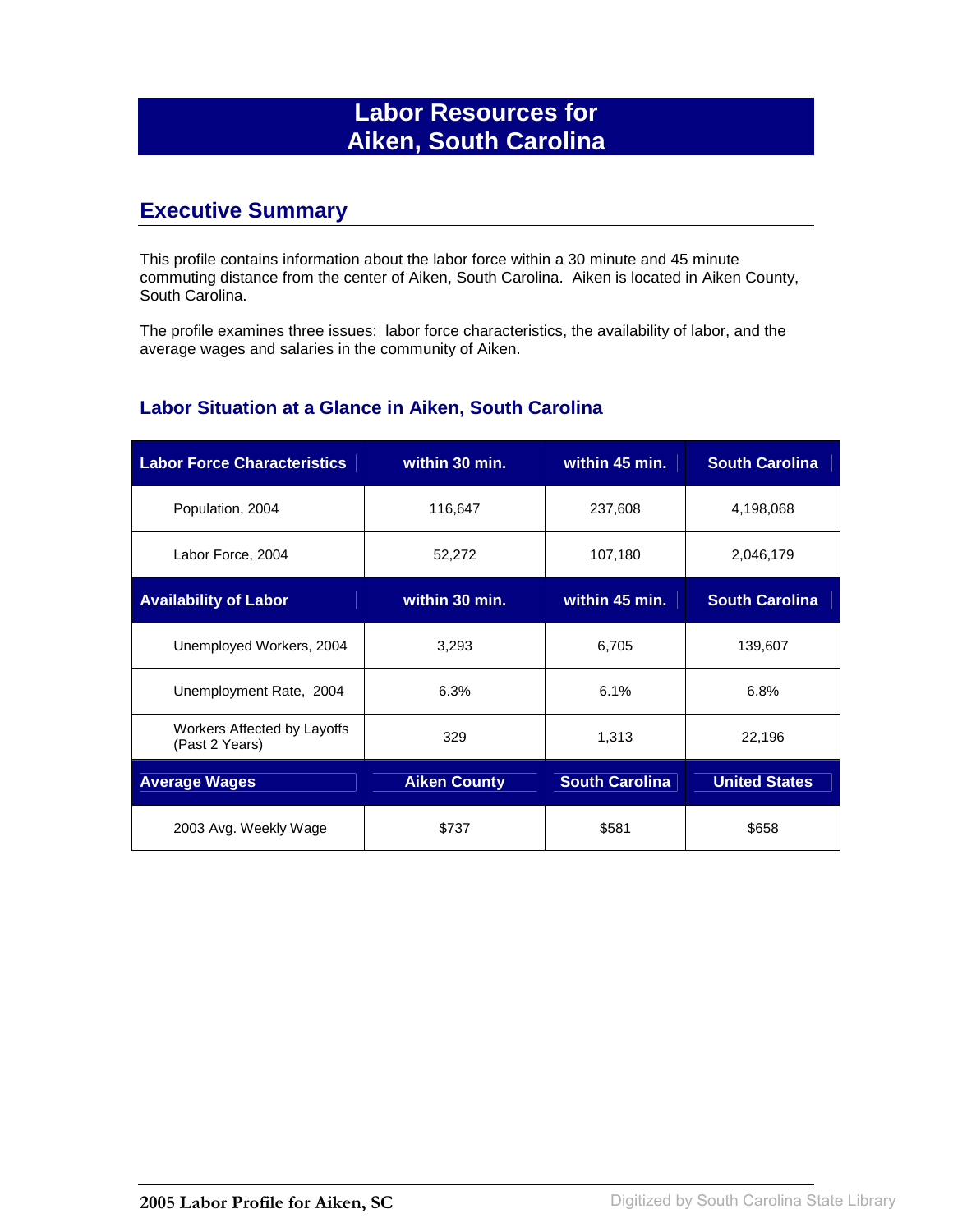# **Labor Resources for Aiken, South Carolina**

### **Executive Summary**

This profile contains information about the labor force within a 30 minute and 45 minute commuting distance from the center of Aiken, South Carolina. Aiken is located in Aiken County, South Carolina.

The profile examines three issues: labor force characteristics, the availability of labor, and the average wages and salaries in the community of Aiken.

#### **Labor Situation at a Glance in Aiken, South Carolina**

| <b>Labor Force Characteristics</b>            | within 30 min.      | within 45 min.        | <b>South Carolina</b> |
|-----------------------------------------------|---------------------|-----------------------|-----------------------|
| Population, 2004                              | 116,647             | 237,608               | 4,198,068             |
| Labor Force, 2004                             | 52,272              | 107,180               | 2,046,179             |
| <b>Availability of Labor</b>                  | within 30 min.      | within 45 min.        | <b>South Carolina</b> |
| Unemployed Workers, 2004                      | 3,293               | 6,705                 | 139,607               |
| Unemployment Rate, 2004                       | 6.3%                | 6.1%                  | 6.8%                  |
| Workers Affected by Layoffs<br>(Past 2 Years) | 329                 | 1,313                 | 22,196                |
| <b>Average Wages</b>                          | <b>Aiken County</b> | <b>South Carolina</b> | <b>United States</b>  |
| 2003 Avg. Weekly Wage                         | \$737               | \$581                 | \$658                 |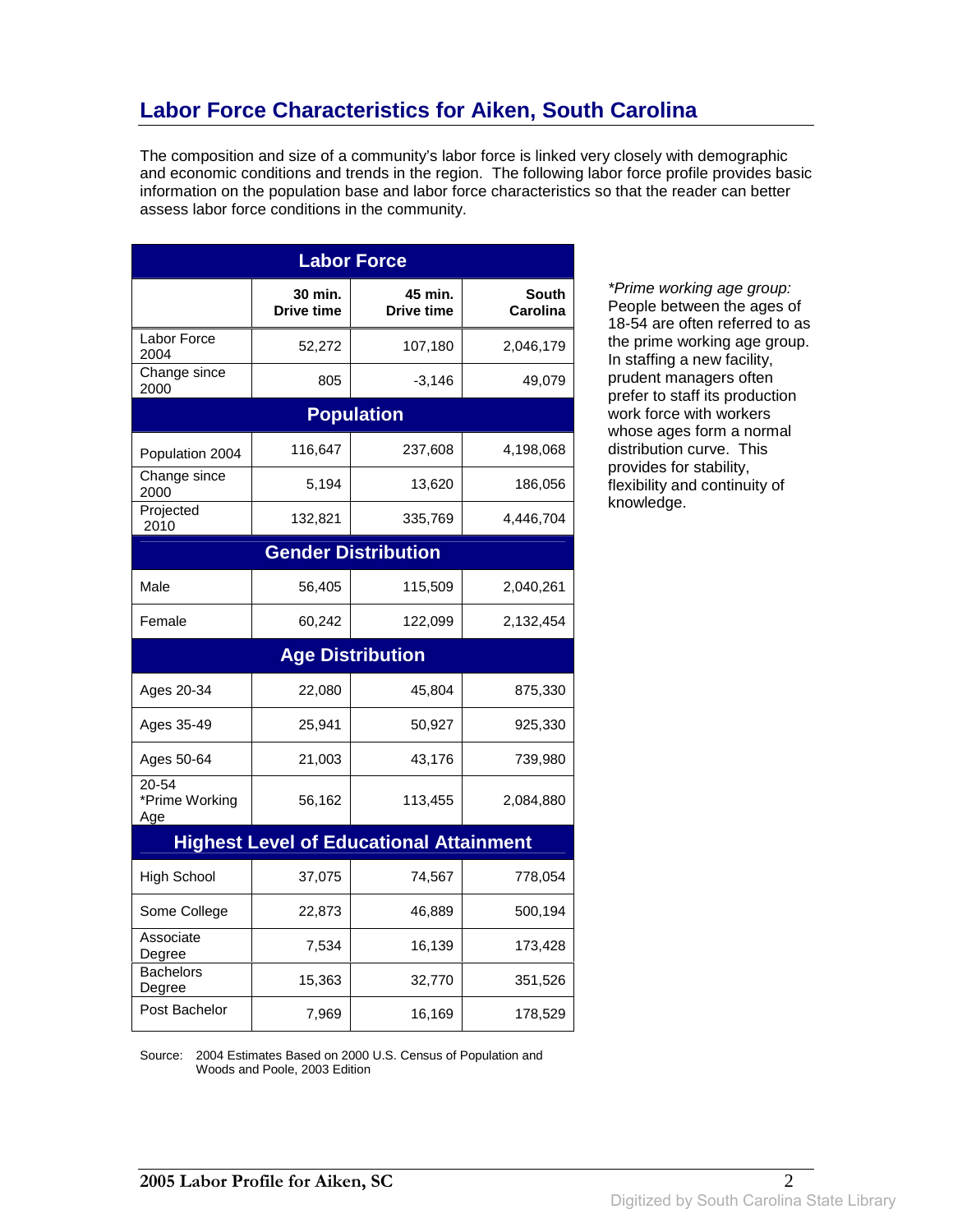## **Labor Force Characteristics for Aiken, South Carolina**

The composition and size of a community's labor force is linked very closely with demographic and economic conditions and trends in the region. The following labor force profile provides basic information on the population base and labor force characteristics so that the reader can better assess labor force conditions in the community.

| <b>Labor Force</b>             |                       |                                                |                          |
|--------------------------------|-----------------------|------------------------------------------------|--------------------------|
|                                | 30 min.<br>Drive time | 45 min.<br>Drive time                          | <b>South</b><br>Carolina |
| Labor Force<br>2004            | 52,272                | 107,180                                        | 2,046,179                |
| Change since<br>2000           | 805                   | $-3,146$                                       | 49,079                   |
|                                |                       | <b>Population</b>                              |                          |
| Population 2004                | 116,647               | 237,608                                        | 4,198,068                |
| Change since<br>2000           | 5,194                 | 13,620                                         | 186,056                  |
| Projected<br>2010              | 132,821               | 335,769                                        | 4,446,704                |
|                                |                       | <b>Gender Distribution</b>                     |                          |
| Male                           | 56,405                | 115,509                                        | 2,040,261                |
| Female                         | 60,242                | 122,099                                        | 2,132,454                |
|                                |                       | <b>Age Distribution</b>                        |                          |
| Ages 20-34                     | 22,080                | 45,804                                         | 875,330                  |
| Ages 35-49                     | 25,941                | 50,927                                         | 925,330                  |
| Ages 50-64                     | 21,003                | 43,176                                         | 739,980                  |
| 20-54<br>*Prime Working<br>Age | 56,162                | 113,455                                        | 2,084,880                |
|                                |                       | <b>Highest Level of Educational Attainment</b> |                          |
| <b>High School</b>             | 37,075                | 74,567                                         | 778,054                  |
| Some College                   | 22,873                | 46,889                                         | 500,194                  |
| Associate<br>Degree            | 7,534                 | 16,139                                         | 173,428                  |
| <b>Bachelors</b><br>Degree     | 15,363                | 32,770                                         | 351,526                  |
| Post Bachelor                  | 7,969                 | 16,169                                         | 178,529                  |

\*Prime working age group: People between the ages of 18-54 are often referred to as the prime working age group. In staffing a new facility, prudent managers often prefer to staff its production work force with workers whose ages form a normal distribution curve. This provides for stability, flexibility and continuity of knowledge.

Source: 2004 Estimates Based on 2000 U.S. Census of Population and Woods and Poole, 2003 Edition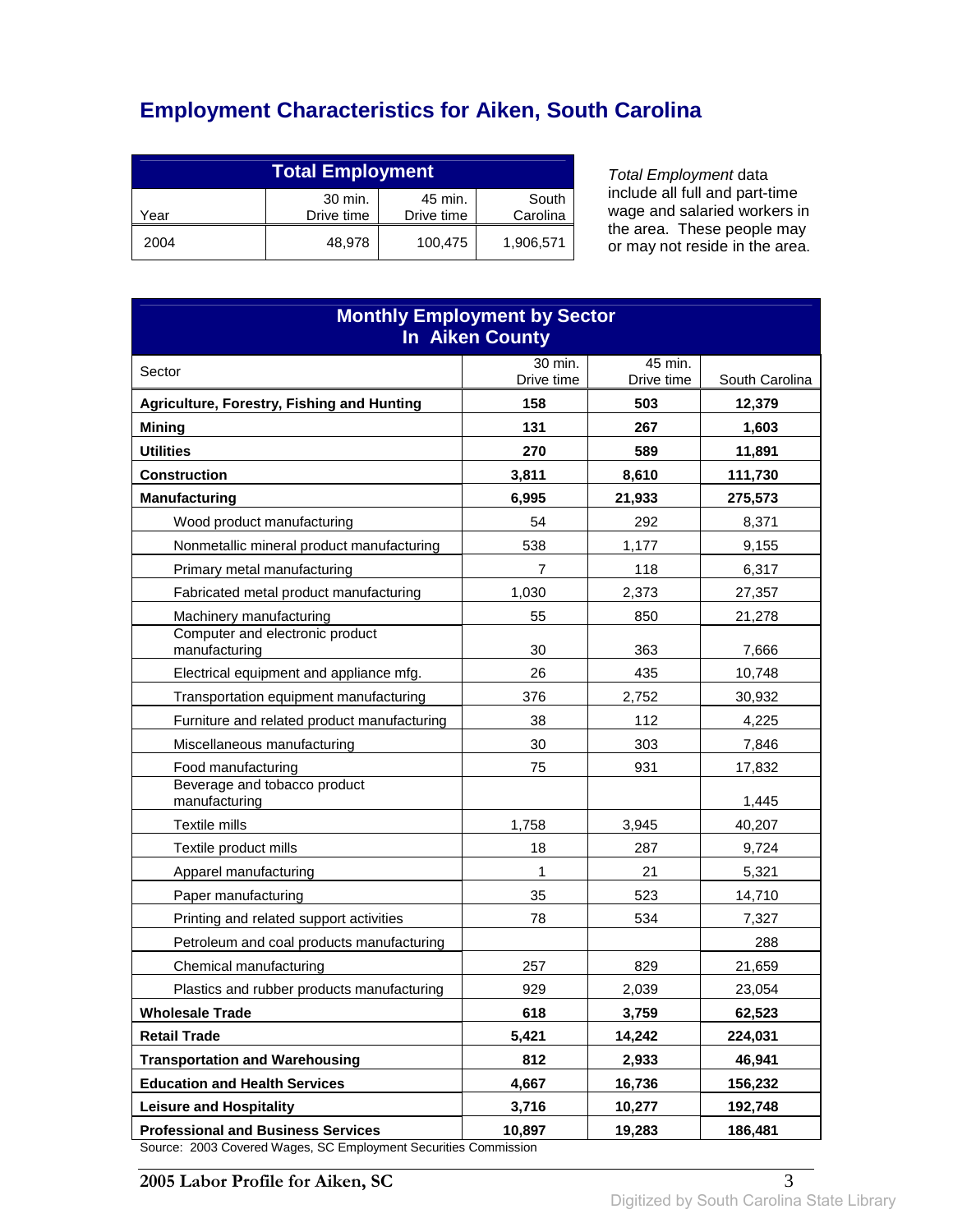# **Employment Characteristics for Aiken, South Carolina**

| <b>Total Employment</b>                                                     |        |         |           |
|-----------------------------------------------------------------------------|--------|---------|-----------|
| 30 min.<br>South<br>45 min.<br>Carolina<br>Drive time<br>Drive time<br>Year |        |         |           |
| 2004                                                                        | 48.978 | 100,475 | 1,906,571 |

Total Employment data include all full and part-time wage and salaried workers in the area. These people may or may not reside in the area.

| <b>Monthly Employment by Sector</b><br><b>In Aiken County</b>                                                                               |            |            |                   |  |  |
|---------------------------------------------------------------------------------------------------------------------------------------------|------------|------------|-------------------|--|--|
| Sector                                                                                                                                      | 30 min.    | 45 min.    |                   |  |  |
|                                                                                                                                             | Drive time | Drive time | South Carolina    |  |  |
| Agriculture, Forestry, Fishing and Hunting                                                                                                  | 158<br>131 | 503        | 12,379            |  |  |
| <b>Mining</b><br><b>Utilities</b>                                                                                                           | 270        | 267<br>589 | 1,603             |  |  |
| <b>Construction</b>                                                                                                                         | 3,811      | 8,610      | 11,891<br>111,730 |  |  |
| <b>Manufacturing</b>                                                                                                                        | 6,995      | 21,933     | 275,573           |  |  |
| Wood product manufacturing                                                                                                                  | 54         | 292        | 8,371             |  |  |
| Nonmetallic mineral product manufacturing                                                                                                   | 538        | 1,177      | 9,155             |  |  |
| Primary metal manufacturing                                                                                                                 | 7          | 118        | 6,317             |  |  |
| Fabricated metal product manufacturing                                                                                                      | 1,030      | 2,373      | 27,357            |  |  |
| Machinery manufacturing                                                                                                                     | 55         | 850        | 21,278            |  |  |
| Computer and electronic product<br>manufacturing                                                                                            | 30         | 363        | 7,666             |  |  |
| Electrical equipment and appliance mfg.                                                                                                     | 26         | 435        | 10,748            |  |  |
| Transportation equipment manufacturing                                                                                                      | 376        | 2,752      | 30,932            |  |  |
| Furniture and related product manufacturing                                                                                                 | 38         | 112        | 4,225             |  |  |
| Miscellaneous manufacturing                                                                                                                 | 30         | 303        | 7,846             |  |  |
| Food manufacturing                                                                                                                          | 75         | 931        | 17,832            |  |  |
| Beverage and tobacco product<br>manufacturing                                                                                               |            |            | 1,445             |  |  |
| Textile mills                                                                                                                               | 1,758      | 3,945      | 40,207            |  |  |
| Textile product mills                                                                                                                       | 18         | 287        | 9,724             |  |  |
| Apparel manufacturing                                                                                                                       | 1          | 21         | 5,321             |  |  |
| Paper manufacturing                                                                                                                         | 35         | 523        | 14,710            |  |  |
| Printing and related support activities                                                                                                     | 78         | 534        | 7,327             |  |  |
| Petroleum and coal products manufacturing                                                                                                   |            |            | 288               |  |  |
| Chemical manufacturing                                                                                                                      | 257        | 829        | 21,659            |  |  |
| Plastics and rubber products manufacturing                                                                                                  | 929        | 2,039      | 23,054            |  |  |
| <b>Wholesale Trade</b>                                                                                                                      | 618        | 3,759      | 62,523            |  |  |
| <b>Retail Trade</b>                                                                                                                         | 5,421      | 14,242     | 224,031           |  |  |
| <b>Transportation and Warehousing</b>                                                                                                       | 812        | 2,933      | 46,941            |  |  |
| <b>Education and Health Services</b>                                                                                                        | 4,667      | 16,736     | 156,232           |  |  |
| <b>Leisure and Hospitality</b>                                                                                                              | 3,716      | 10,277     | 192,748           |  |  |
| <b>Professional and Business Services</b><br>19,283<br>186,481<br>10,897<br>Source: 2003 Covered Wages, SC Employment Securities Commission |            |            |                   |  |  |

Source: 2003 Covered Wages, SC Employment Securities Commission

**2005 Labor Profile for Aiken, SC** 3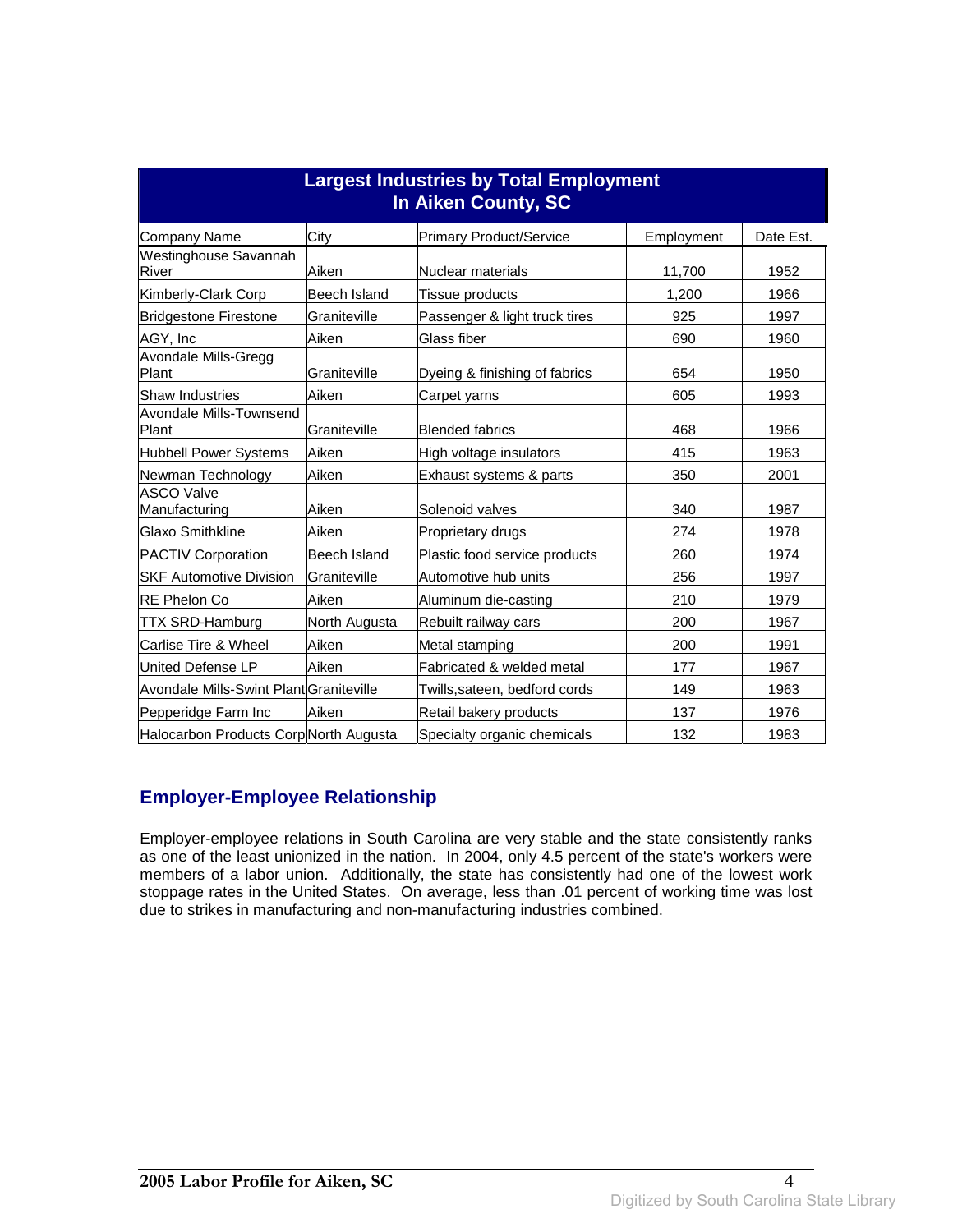| <b>Largest Industries by Total Employment</b><br>In Aiken County, SC |               |                                |            |           |
|----------------------------------------------------------------------|---------------|--------------------------------|------------|-----------|
| <b>Company Name</b>                                                  | City          | <b>Primary Product/Service</b> | Employment | Date Est. |
| Westinghouse Savannah<br>River                                       | Aiken         | Nuclear materials              | 11,700     | 1952      |
| Kimberly-Clark Corp                                                  | Beech Island  | Tissue products                | 1,200      | 1966      |
| <b>Bridgestone Firestone</b>                                         | Graniteville  | Passenger & light truck tires  | 925        | 1997      |
| AGY, Inc                                                             | Aiken         | Glass fiber                    | 690        | 1960      |
| Avondale Mills-Gregg<br>Plant                                        | Graniteville  | Dyeing & finishing of fabrics  | 654        | 1950      |
| <b>Shaw Industries</b>                                               | Aiken         | Carpet yarns                   | 605        | 1993      |
| Avondale Mills-Townsend<br>Plant                                     | Graniteville  | <b>Blended fabrics</b>         | 468        | 1966      |
| <b>Hubbell Power Systems</b>                                         | Aiken         | High voltage insulators        | 415        | 1963      |
| Newman Technology                                                    | Aiken         | Exhaust systems & parts        | 350        | 2001      |
| <b>ASCO Valve</b><br>Manufacturing                                   | Aiken         | Solenoid valves                | 340        | 1987      |
| <b>Glaxo Smithkline</b>                                              | Aiken         | Proprietary drugs              | 274        | 1978      |
| <b>PACTIV Corporation</b>                                            | Beech Island  | Plastic food service products  | 260        | 1974      |
| <b>SKF Automotive Division</b>                                       | Graniteville  | Automotive hub units           | 256        | 1997      |
| <b>RE Phelon Co</b>                                                  | Aiken         | Aluminum die-casting           | 210        | 1979      |
| <b>TTX SRD-Hamburg</b>                                               | North Augusta | Rebuilt railway cars           | 200        | 1967      |
| Carlise Tire & Wheel                                                 | Aiken         | Metal stamping                 | 200        | 1991      |
| United Defense LP                                                    | Aiken         | Fabricated & welded metal      | 177        | 1967      |
| Avondale Mills-Swint Plant Graniteville                              |               | Twills, sateen, bedford cords  | 149        | 1963      |
| Pepperidge Farm Inc                                                  | Aiken         | Retail bakery products         | 137        | 1976      |
| Halocarbon Products Corp North Augusta                               |               | Specialty organic chemicals    | 132        | 1983      |

#### **Employer-Employee Relationship**

Employer-employee relations in South Carolina are very stable and the state consistently ranks as one of the least unionized in the nation. In 2004, only 4.5 percent of the state's workers were members of a labor union. Additionally, the state has consistently had one of the lowest work stoppage rates in the United States. On average, less than .01 percent of working time was lost due to strikes in manufacturing and non-manufacturing industries combined.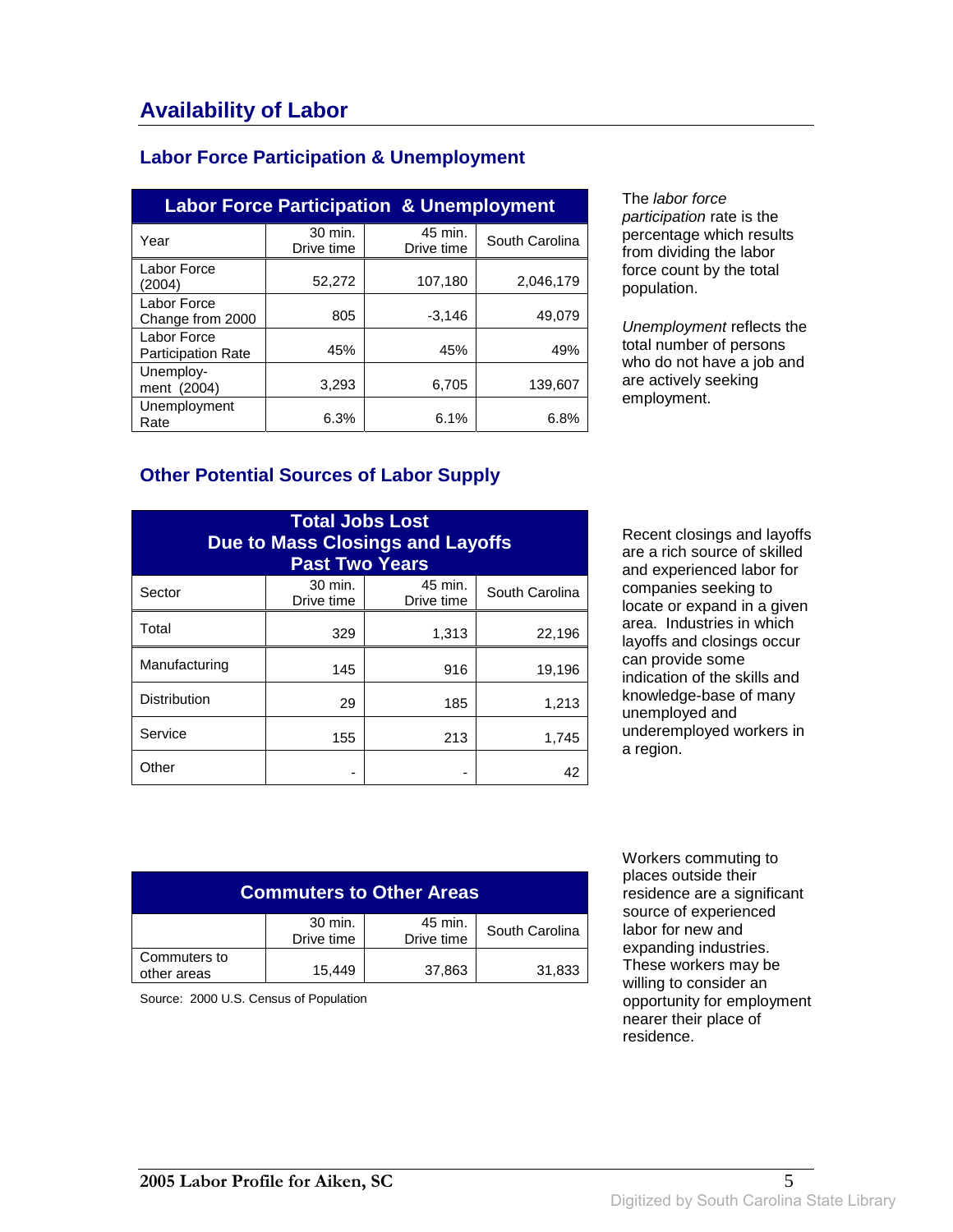### **Labor Force Participation & Unemployment**

| <b>Labor Force Participation &amp; Unemployment</b> |                       |                       |                |  |
|-----------------------------------------------------|-----------------------|-----------------------|----------------|--|
| Year                                                | 30 min.<br>Drive time | 45 min.<br>Drive time | South Carolina |  |
| Labor Force<br>(2004)                               | 52,272                | 107,180               | 2,046,179      |  |
| Labor Force<br>Change from 2000                     | 805                   | $-3,146$              | 49,079         |  |
| Labor Force<br><b>Participation Rate</b>            | 45%                   | 45%                   | 49%            |  |
| Unemploy-<br>ment (2004)                            | 3,293                 | 6,705                 | 139.607        |  |
| Unemployment<br>Rate                                | 6.3%                  | 6.1%                  | 6.8%           |  |

The labor force participation rate is the percentage which results from dividing the labor force count by the total population.

Unemployment reflects the total number of persons who do not have a job and are actively seeking employment.

#### **Other Potential Sources of Labor Supply**

| <b>Total Jobs Lost</b><br><b>Due to Mass Closings and Layoffs</b><br><b>Past Two Years</b> |                       |                       |                |
|--------------------------------------------------------------------------------------------|-----------------------|-----------------------|----------------|
| Sector                                                                                     | 30 min.<br>Drive time | 45 min.<br>Drive time | South Carolina |
| Total                                                                                      | 329                   | 1,313                 | 22,196         |
| Manufacturing                                                                              | 145                   | 916                   | 19,196         |
| <b>Distribution</b>                                                                        | 29                    | 185                   | 1,213          |
| Service                                                                                    | 155                   | 213                   | 1,745          |
| Other                                                                                      |                       |                       | 42             |

Recent closings and layoffs are a rich source of skilled and experienced labor for companies seeking to locate or expand in a given area. Industries in which layoffs and closings occur can provide some indication of the skills and knowledge-base of many unemployed and underemployed workers in a region.

| <b>Commuters to Other Areas</b> |                       |                       |                |
|---------------------------------|-----------------------|-----------------------|----------------|
|                                 | 30 min.<br>Drive time | 45 min.<br>Drive time | South Carolina |
| Commuters to<br>other areas     | 15.449                | 37,863                | 31,833         |

Source: 2000 U.S. Census of Population

 Workers commuting to places outside their residence are a significant source of experienced labor for new and expanding industries. These workers may be willing to consider an opportunity for employment nearer their place of residence.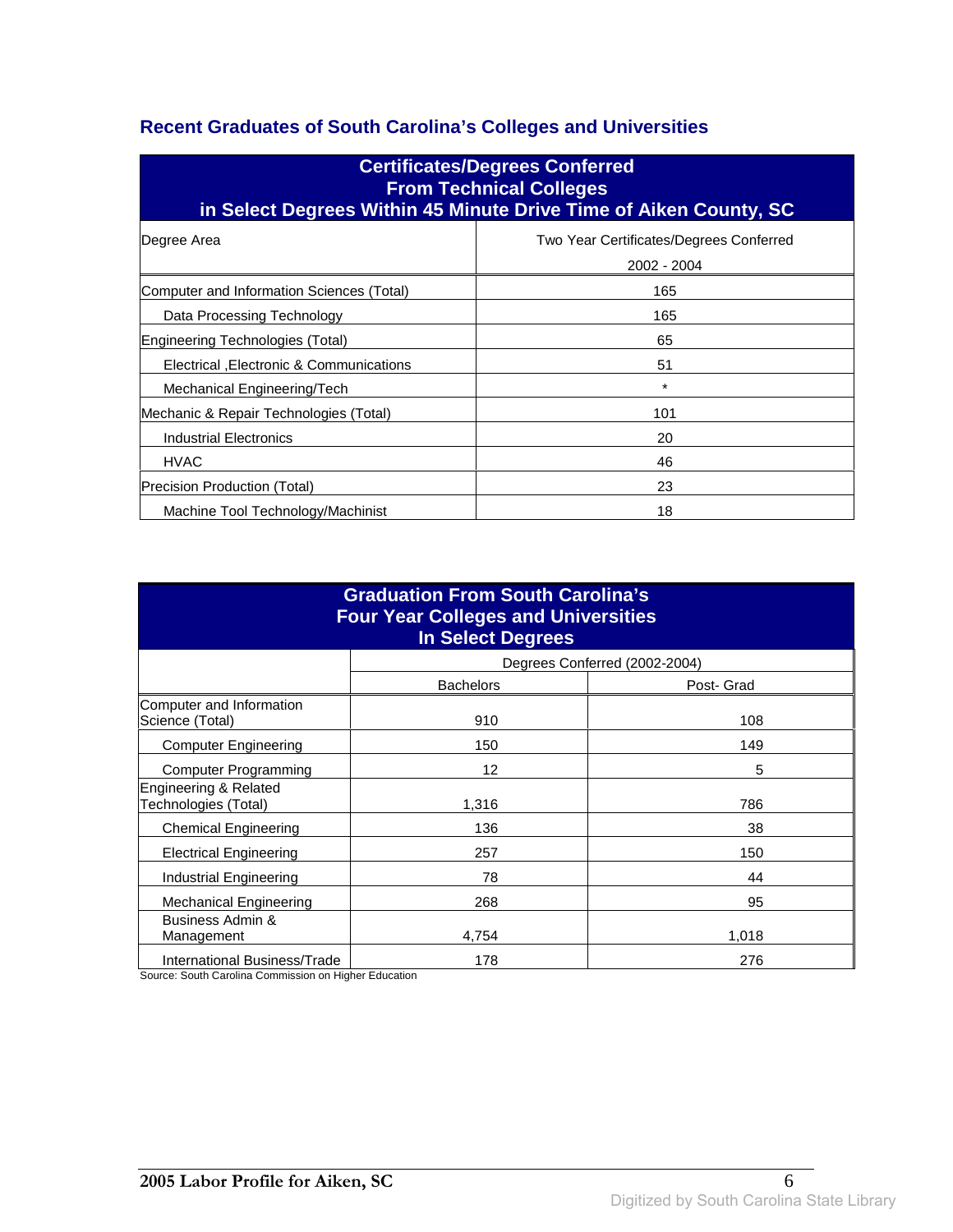### **Recent Graduates of South Carolina's Colleges and Universities**

| <b>Certificates/Degrees Conferred</b><br><b>From Technical Colleges</b><br>in Select Degrees Within 45 Minute Drive Time of Aiken County, SC |                                                        |  |  |
|----------------------------------------------------------------------------------------------------------------------------------------------|--------------------------------------------------------|--|--|
| Degree Area                                                                                                                                  | Two Year Certificates/Degrees Conferred<br>2002 - 2004 |  |  |
| Computer and Information Sciences (Total)                                                                                                    | 165                                                    |  |  |
| Data Processing Technology                                                                                                                   | 165                                                    |  |  |
| Engineering Technologies (Total)                                                                                                             | 65                                                     |  |  |
| Electrical , Electronic & Communications                                                                                                     | 51                                                     |  |  |
| Mechanical Engineering/Tech                                                                                                                  | $\star$                                                |  |  |
| Mechanic & Repair Technologies (Total)                                                                                                       | 101                                                    |  |  |
| Industrial Electronics                                                                                                                       | 20                                                     |  |  |
| <b>HVAC</b>                                                                                                                                  | 46                                                     |  |  |
| Precision Production (Total)                                                                                                                 | 23                                                     |  |  |
| Machine Tool Technology/Machinist                                                                                                            | 18                                                     |  |  |

| <b>Graduation From South Carolina's</b><br><b>Four Year Colleges and Universities</b><br><b>In Select Degrees</b> |                                |                               |  |
|-------------------------------------------------------------------------------------------------------------------|--------------------------------|-------------------------------|--|
|                                                                                                                   |                                | Degrees Conferred (2002-2004) |  |
|                                                                                                                   | <b>Bachelors</b><br>Post- Grad |                               |  |
| Computer and Information<br>Science (Total)                                                                       | 910                            | 108                           |  |
| <b>Computer Engineering</b>                                                                                       | 150                            | 149                           |  |
| <b>Computer Programming</b>                                                                                       | 12                             | 5                             |  |
| Engineering & Related<br>Technologies (Total)                                                                     | 1,316                          | 786                           |  |
| <b>Chemical Engineering</b>                                                                                       | 136                            | 38                            |  |
| <b>Electrical Engineering</b>                                                                                     | 257                            | 150                           |  |
| Industrial Engineering                                                                                            | 78                             | 44                            |  |
| <b>Mechanical Engineering</b>                                                                                     | 268                            | 95                            |  |
| Business Admin &<br>Management                                                                                    | 4.754                          | 1,018                         |  |
| International Business/Trade                                                                                      | 178                            | 276                           |  |

Source: South Carolina Commission on Higher Education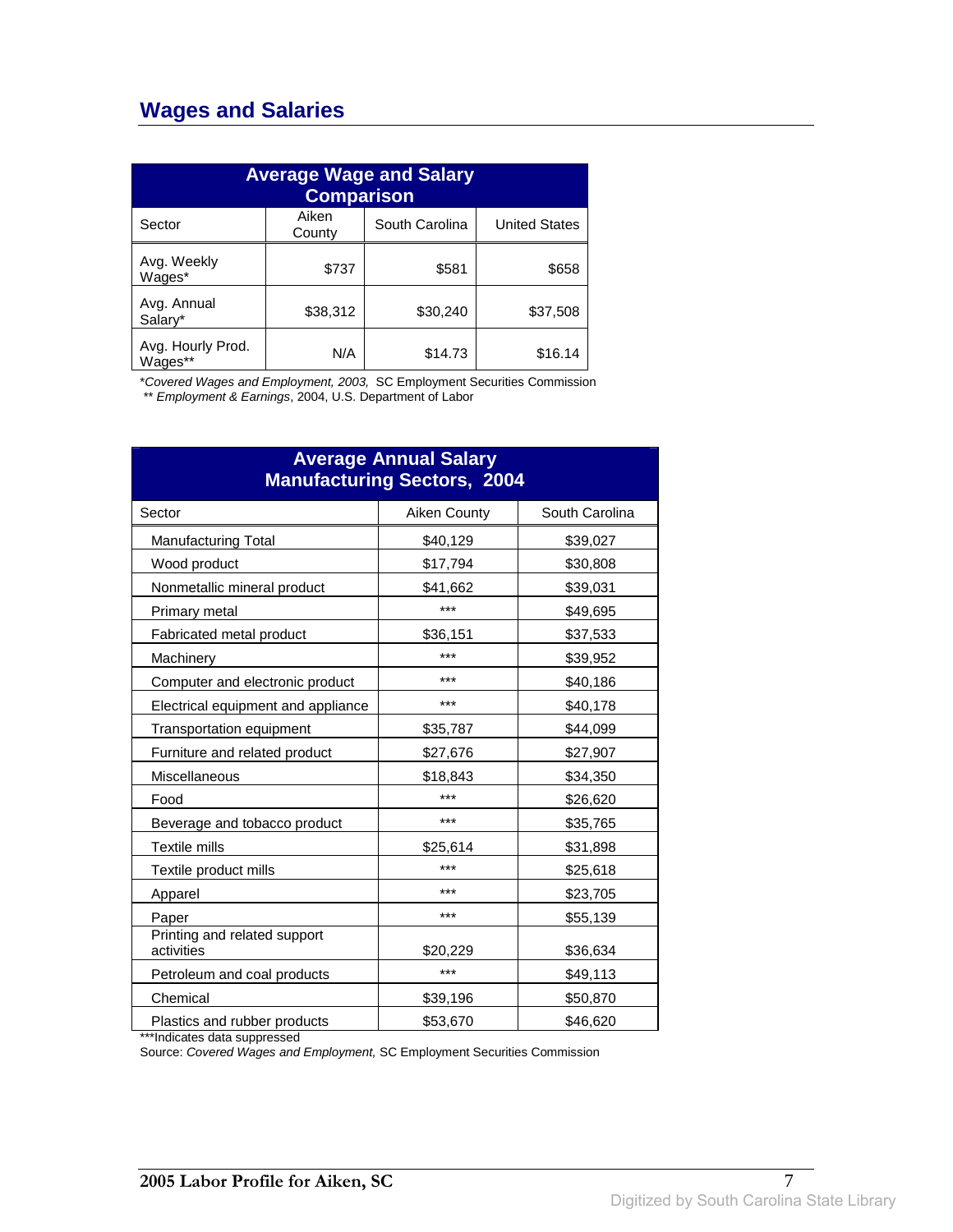## **Wages and Salaries**

| <b>Average Wage and Salary</b><br><b>Comparison</b> |                 |                |                      |
|-----------------------------------------------------|-----------------|----------------|----------------------|
| Sector                                              | Aiken<br>County | South Carolina | <b>United States</b> |
| Avg. Weekly<br>Wages*                               | \$737           | \$581          | \$658                |
| Avg. Annual<br>Salary*                              | \$38,312        | \$30,240       | \$37,508             |
| Avg. Hourly Prod.<br>Wages**                        | N/A             | \$14.73        | \$16.14              |

\*Covered Wages and Employment, 2003, SC Employment Securities Commission

\*\* Employment & Earnings, 2004, U.S. Department of Labor

| <b>Average Annual Salary</b><br><b>Manufacturing Sectors, 2004</b> |              |                |
|--------------------------------------------------------------------|--------------|----------------|
| Sector                                                             | Aiken County | South Carolina |
| <b>Manufacturing Total</b>                                         | \$40,129     | \$39,027       |
| Wood product                                                       | \$17,794     | \$30,808       |
| Nonmetallic mineral product                                        | \$41,662     | \$39,031       |
| Primary metal                                                      | ***          | \$49,695       |
| Fabricated metal product                                           | \$36,151     | \$37,533       |
| Machinery                                                          | ***          | \$39,952       |
| Computer and electronic product                                    | ***          | \$40,186       |
| Electrical equipment and appliance                                 | ***          | \$40,178       |
| Transportation equipment                                           | \$35,787     | \$44,099       |
| Furniture and related product                                      | \$27,676     | \$27,907       |
| Miscellaneous                                                      | \$18,843     | \$34,350       |
| Food                                                               | ***          | \$26,620       |
| Beverage and tobacco product                                       | ***          | \$35,765       |
| <b>Textile mills</b>                                               | \$25,614     | \$31,898       |
| Textile product mills                                              | ***          | \$25,618       |
| Apparel                                                            | ***          | \$23,705       |
| Paper                                                              | ***          | \$55,139       |
| Printing and related support<br>activities                         | \$20,229     | \$36,634       |
| Petroleum and coal products                                        | ***          | \$49,113       |
| Chemical                                                           | \$39,196     | \$50,870       |
| Plastics and rubber products                                       | \$53,670     | \$46,620       |

\*\*\*Indicates data suppressed

Source: Covered Wages and Employment, SC Employment Securities Commission